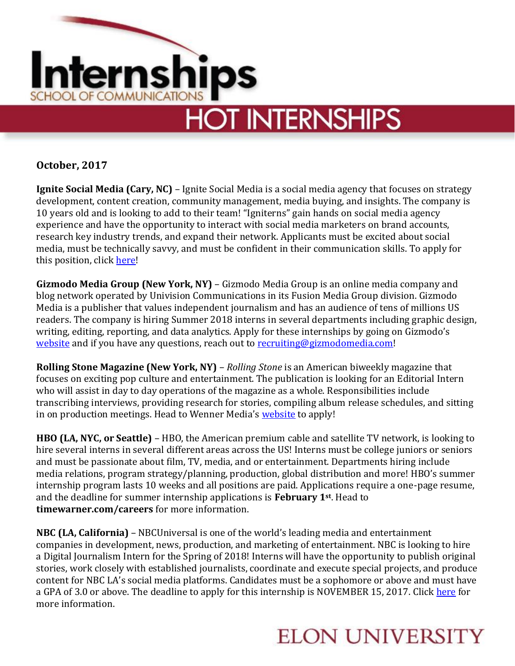

**October, 2017**

**Ignite Social Media (Cary, NC)** – Ignite Social Media is a social media agency that focuses on strategy development, content creation, community management, media buying, and insights. The company is 10 years old and is looking to add to their team! "Igniterns" gain hands on social media agency experience and have the opportunity to interact with social media marketers on brand accounts, research key industry trends, and expand their network. Applicants must be excited about social media, must be technically savvy, and must be confident in their communication skills. To apply for this position, click [here!](https://www.glassdoor.com/job-listing/internship-ignite-social-media-JV_IC1138945_KO0,10_KE11,30.htm?jl=2456804845)

**Gizmodo Media Group (New York, NY)** – Gizmodo Media Group is an online media company and blog network operated by Univision Communications in its Fusion Media Group division. Gizmodo Media is a publisher that values independent journalism and has an audience of tens of millions US readers. The company is hiring Summer 2018 interns in several departments including graphic design, writing, editing, reporting, and data analytics. Apply for these internships by going on Gizmodo's [website](http://gizmodo.com/careers/newyork#openings) and if you have any questions, reach out to [recruiting@gizmodomedia.com!](mailto:recruiting@gizmodomedia.com)

**Rolling Stone Magazine (New York, NY)** – *Rolling Stone* is an American biweekly magazine that focuses on exciting pop culture and entertainment. The publication is looking for an Editorial Intern who will assist in day to day operations of the magazine as a whole. Responsibilities include transcribing interviews, providing research for stories, compiling album release schedules, and sitting in on production meetings. Head to Wenner Media's [website](https://corporate-wennermedia.icims.com/jobs/1360/rolling-stone-editorial-intern/job?mode=job&iis=Indeed&iisn=Indeed.com&mobile=false&width=948&height=500&bga=true&needsRedirect=false&jan1offset=-300&jun1offset=-240) to apply!

**HBO (LA, NYC, or Seattle)** – HBO, the American premium cable and satellite TV network, is looking to hire several interns in several different areas across the US! Interns must be college juniors or seniors and must be passionate about film, TV, media, and or entertainment. Departments hiring include media relations, program strategy/planning, production, global distribution and more! HBO's summer internship program lasts 10 weeks and all positions are paid. Applications require a one-page resume, and the deadline for summer internship applications is **February 1st** . Head to **timewarner.com/careers** for more information.

**NBC (LA, California)** – NBCUniversal is one of the world's leading media and entertainment companies in development, news, production, and marketing of entertainment. NBC is looking to hire a Digital Journalism Intern for the Spring of 2018! Interns will have the opportunity to publish original stories, work closely with established journalists, coordinate and execute special projects, and produce content for NBC LA's social media platforms. Candidates must be a sophomore or above and must have a GPA of 3.0 or above. The deadline to apply for this internship is NOVEMBER 15, 2017. Click [here](https://sjobs.brassring.com/TGWEbHost/jobdetails.aspx?partnerid=25354&siteid=5108&jobid=383984) for more information.

## **ELON UNIVERSITY**